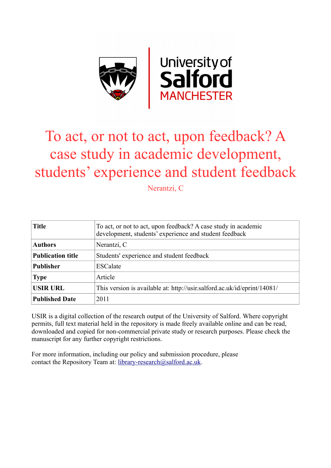

# To act, or not to act, upon feedback? A case study in academic development, students' experience and student feedback

Nerantzi, C

| <b>Title</b>             | To act, or not to act, upon feedback? A case study in academic<br>development, students' experience and student feedback |
|--------------------------|--------------------------------------------------------------------------------------------------------------------------|
| <b>Authors</b>           | Nerantzi, C                                                                                                              |
| <b>Publication title</b> | Students' experience and student feedback                                                                                |
| <b>Publisher</b>         | <b>ESCalate</b>                                                                                                          |
| <b>Type</b>              | Article                                                                                                                  |
| <b>USIR URL</b>          | This version is available at: http://usir.salford.ac.uk/id/eprint/14081/                                                 |
| <b>Published Date</b>    | 2011                                                                                                                     |

USIR is a digital collection of the research output of the University of Salford. Where copyright permits, full text material held in the repository is made freely available online and can be read, downloaded and copied for non-commercial private study or research purposes. Please check the manuscript for any further copyright restrictions.

For more information, including our policy and submission procedure, please contact the Repository Team at: [library-research@salford.ac.uk.](mailto:library-research@salford.ac.uk)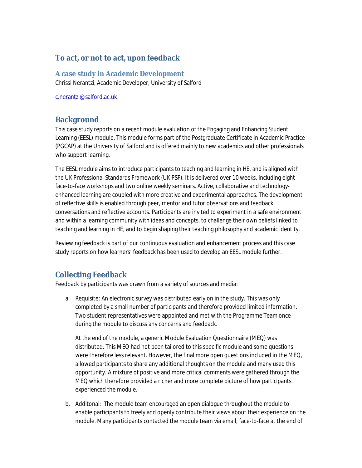### **To act, or not to act, upon feedback**

**A case study in Academic Development**

Chrissi Nerantzi, Academic Developer, University of Salford

c.nerantzi@salford.ac.uk

## **Background**

This case study reports on a recent module evaluation of the Engaging and Enhancing Student Learning (EESL) module. This module forms part of the Postgraduate Certificate in Academic Practice (PGCAP) at the University of Salford and is offered mainly to new academics and other professionals who support learning.

The EESL module aims to introduce participants to teaching and learning in HE, and is aligned with the UK Professional Standards Framework (UK PSF). It is delivered over 10 weeks, including eight face-to-face workshops and two online weekly seminars. Active, collaborative and technologyenhanced learning are coupled with more creative and experimental approaches. The development of reflective skills is enabled through peer, mentor and tutor observations and feedback conversations and reflective accounts. Participants are invited to experiment in a safe environment and within a learning community with ideas and concepts, to challenge their own beliefs linked to teaching and learning in HE, and to begin shaping their teaching philosophy and academic identity.

Reviewing feedback is part of our continuous evaluation and enhancement process and this case study reports on how learners' feedback has been used to develop an EESL module further.

### **Collecting Feedback**

Feedback by participants was drawn from a variety of sources and media:

a. Requisite: An electronic survey was distributed early on in the study. This was only completed by a small number of participants and therefore provided limited information. Two student representatives were appointed and met with the Programme Team once during the module to discuss any concerns and feedback.

At the end of the module, a generic Module Evaluation Questionnaire (MEQ) was distributed. This MEQ had not been tailored to this specific module and some questions were therefore less relevant. However, the final more open questions included in the MEQ, allowed participants to share any additional thoughts on the module and many used this opportunity. A mixture of positive and more critical comments were gathered through the MEQ which therefore provided a richer and more complete picture of how participants experienced the module.

b. Additonal: The module team encouraged an open dialogue throughout the module to enable participants to freely and openly contribute their views about their experience on the module. Many participants contacted the module team via email, face-to-face at the end of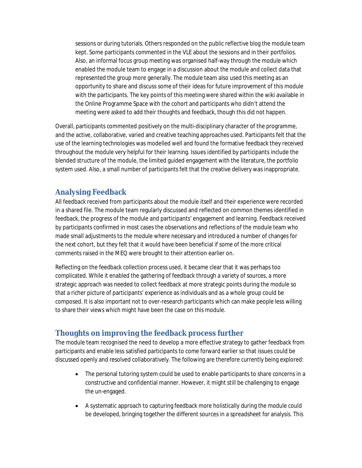sessions or during tutorials. Others responded on the public reflective blog the module team kept. Some participants commented in the VLE about the sessions and in their portfolios. Also, an informal focus group meeting was organised half-way through the module which enabled the module team to engage in a discussion about the module and collect data that represented the group more generally. The module team also used this meeting as an opportunity to share and discuss some of their ideas for future improvement of this module with the participants. The key points of this meeting were shared within the wiki available in the Online Programme Space with the cohort and participants who didn't attend the meeting were asked to add their thoughts and feedback, though this did not happen.

Overall, participants commented positively on the multi-disciplinary character of the programme, and the active, collaborative, varied and creative teaching approaches used. Participants felt that the use of the learning technologies was modelled well and found the formative feedback they received throughout the module very helpful for their learning. Issues identified by participants include the blended structure of the module, the limited guided engagement with the literature, the portfolio system used. Also, a small number of participants felt that the creative delivery was inappropriate.

### **Analysing Feedback**

All feedback received from participants about the module itself and their experience were recorded in a shared file. The module team regularly discussed and reflected on common themes identified in feedback, the progress of the module and participants' engagement and learning. Feedback received by participants confirmed in most cases the observations and reflections of the module team who made small adjustments to the module where necessary and introduced a number of changes for the next cohort, but they felt that it would have been beneficial if some of the more critical comments raised in the MEQ were brought to their attention earlier on.

Reflecting on the feedback collection process used, it became clear that it was perhaps too complicated. While it enabled the gathering of feedback through a variety of sources, a more strategic approach was needed to collect feedback at more strategic points during the module so that a richer picture of participants' experience as individuals and as a whole group could be composed. It is also important not to over-research participants which can make people less willing to share their views which might have been the case on this module.

#### **Thoughts on improving the feedback process further**

The module team recognised the need to develop a more effective strategy to gather feedback from participants and enable less satisfied participants to come forward earlier so that issues could be discussed openly and resolved collaboratively. The following are therefore currently being explored:

- The personal tutoring system could be used to enable participants to share concerns in a constructive and confidential manner. However, it might still be challenging to engage the un-engaged.
- A systematic approach to capturing feedback more holistically during the module could be developed, bringing together the different sources in a spreadsheet for analysis. This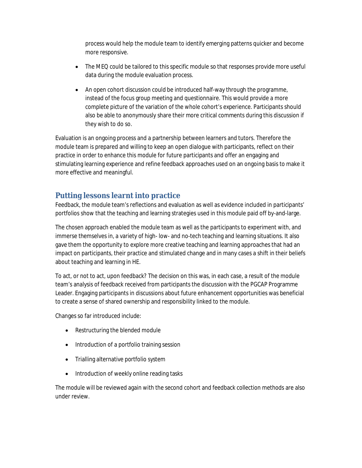process would help the module team to identify emerging patterns quicker and become more responsive.

- The MEQ could be tailored to this specific module so that responses provide more useful data during the module evaluation process.
- An open cohort discussion could be introduced half-way through the programme, instead of the focus group meeting and questionnaire. This would provide a more complete picture of the variation of the whole cohort's experience. Participants should also be able to anonymously share their more critical comments during this discussion if they wish to do so.

Evaluation is an ongoing process and a partnership between learners and tutors. Therefore the module team is prepared and willing to keep an open dialogue with participants, reflect on their practice in order to enhance this module for future participants and offer an engaging and stimulating learning experience and refine feedback approaches used on an ongoing basis to make it more effective and meaningful.

### **Putting lessons learnt into practice**

Feedback, the module team's reflections and evaluation as well as evidence included in participants' portfolios show that the teaching and learning strategies used in this module paid off by-and-large.

The chosen approach enabled the module team as well as the participants to experiment with, and immerse themselves in, a variety of high- low- and no-tech teaching and learning situations. It also gave them the opportunity to explore more creative teaching and learning approaches that had an impact on participants, their practice and stimulated change and in many cases a shift in their beliefs about teaching and learning in HE.

To act, or not to act, upon feedback? The decision on this was, in each case, a result of the module team's analysis of feedback received from participants the discussion with the PGCAP Programme Leader. Engaging participants in discussions about future enhancement opportunities was beneficial to create a sense of shared ownership and responsibility linked to the module.

Changes so far introduced include:

- Restructuring the blended module
- Introduction of a portfolio training session
- Trialling alternative portfolio system
- Introduction of weekly online reading tasks

The module will be reviewed again with the second cohort and feedback collection methods are also under review.